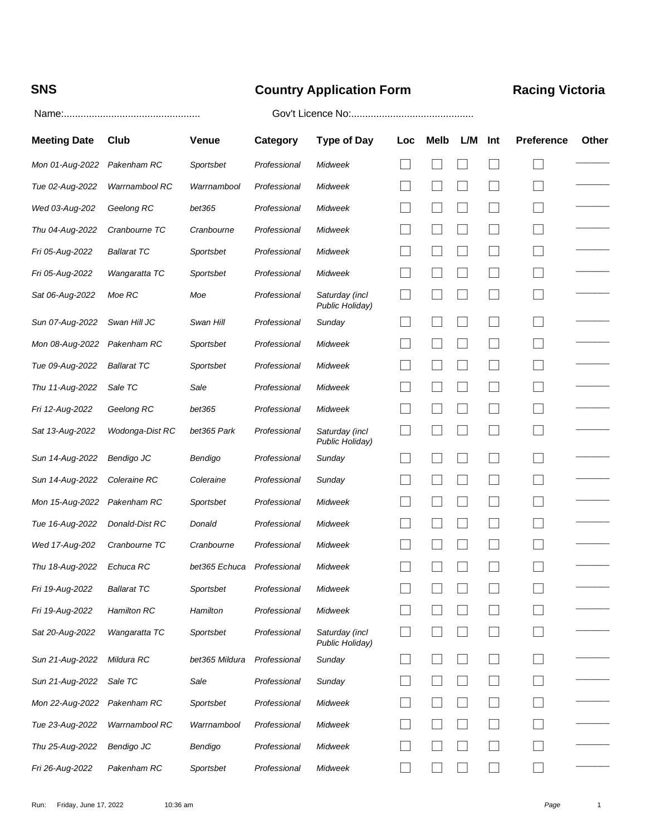# **SNS Country Application Form Racing Victoria**

### Name:................................................. Gov't Licence No:............................................

| <b>Meeting Date</b> | Club               | <b>Venue</b>   | <b>Category</b> | <b>Type of Day</b>                | Loc | Melb | L/M | Int    | <b>Preference</b>        | Other |
|---------------------|--------------------|----------------|-----------------|-----------------------------------|-----|------|-----|--------|--------------------------|-------|
| Mon 01-Aug-2022     | Pakenham RC        | Sportsbet      | Professional    | Midweek                           |     |      |     |        |                          |       |
| Tue 02-Aug-2022     | Warrnambool RC     | Warrnambool    | Professional    | Midweek                           |     |      |     |        |                          |       |
| Wed 03-Aug-202      | Geelong RC         | bet365         | Professional    | Midweek                           |     |      |     |        | $\mathcal{L}$            |       |
| Thu 04-Aug-2022     | Cranbourne TC      | Cranbourne     | Professional    | Midweek                           |     |      |     |        |                          |       |
| Fri 05-Aug-2022     | <b>Ballarat TC</b> | Sportsbet      | Professional    | Midweek                           |     |      |     |        | $\overline{\phantom{a}}$ |       |
| Fri 05-Aug-2022     | Wangaratta TC      | Sportsbet      | Professional    | Midweek                           |     |      |     |        |                          |       |
| Sat 06-Aug-2022     | Moe RC             | Moe            | Professional    | Saturday (incl<br>Public Holiday) |     |      |     |        | $\sim$                   |       |
| Sun 07-Aug-2022     | Swan Hill JC       | Swan Hill      | Professional    | Sunday                            |     |      |     |        |                          |       |
| Mon 08-Aug-2022     | Pakenham RC        | Sportsbet      | Professional    | Midweek                           |     |      |     | $\sim$ | $\sim$                   |       |
| Tue 09-Aug-2022     | <b>Ballarat TC</b> | Sportsbet      | Professional    | Midweek                           |     |      |     |        |                          |       |
| Thu 11-Aug-2022     | Sale TC            | Sale           | Professional    | Midweek                           |     |      |     |        |                          |       |
| Fri 12-Aug-2022     | Geelong RC         | bet365         | Professional    | Midweek                           |     |      |     |        | $\sim$                   |       |
| Sat 13-Aug-2022     | Wodonga-Dist RC    | bet365 Park    | Professional    | Saturday (incl<br>Public Holiday) |     |      |     |        |                          |       |
| Sun 14-Aug-2022     | Bendigo JC         | Bendigo        | Professional    | Sunday                            |     |      |     |        | $\sim$                   |       |
| Sun 14-Aug-2022     | Coleraine RC       | Coleraine      | Professional    | Sunday                            | ×.  |      |     |        | $\sim$                   |       |
| Mon 15-Aug-2022     | Pakenham RC        | Sportsbet      | Professional    | Midweek                           |     |      |     |        |                          |       |
| Tue 16-Aug-2022     | Donald-Dist RC     | Donald         | Professional    | Midweek                           |     |      |     |        | $\mathbf{I}$             |       |
| Wed 17-Aug-202      | Cranbourne TC      | Cranbourne     | Professional    | Midweek                           |     |      |     |        |                          |       |
| Thu 18-Aug-2022     | Echuca RC          | bet365 Echuca  | Professional    | Midweek                           |     |      |     |        |                          |       |
| Fri 19-Aug-2022     | <b>Ballarat TC</b> | Sportsbet      | Professional    | Midweek                           |     |      |     |        |                          |       |
| Fri 19-Aug-2022     | Hamilton RC        | Hamilton       | Professional    | Midweek                           |     |      |     |        |                          |       |
| Sat 20-Aug-2022     | Wangaratta TC      | Sportsbet      | Professional    | Saturday (incl<br>Public Holiday) |     |      |     |        |                          |       |
| Sun 21-Aug-2022     | Mildura RC         | bet365 Mildura | Professional    | Sunday                            |     |      |     |        |                          |       |
| Sun 21-Aug-2022     | Sale TC            | Sale           | Professional    | Sunday                            |     |      |     |        | $\Box$                   |       |
| Mon 22-Aug-2022     | Pakenham RC        | Sportsbet      | Professional    | Midweek                           |     |      |     |        |                          |       |
| Tue 23-Aug-2022     | Warrnambool RC     | Warrnambool    | Professional    | Midweek                           |     |      |     |        |                          |       |
| Thu 25-Aug-2022     | Bendigo JC         | Bendigo        | Professional    | Midweek                           |     |      |     |        |                          |       |
| Fri 26-Aug-2022     | Pakenham RC        | Sportsbet      | Professional    | Midweek                           |     |      |     |        |                          |       |